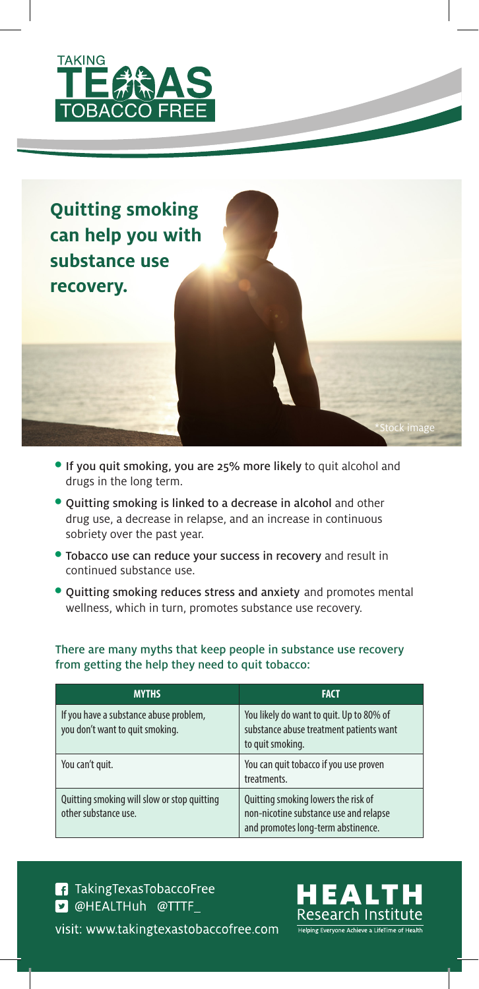

**Quitting smoking can help you with substance use recovery.** 



- Quitting smoking is linked to a decrease in alcohol and other drug use, a decrease in relapse, and an increase in continuous sobriety over the past year.
- Tobacco use can reduce your success in recovery and result in continued substance use.
- Quitting smoking reduces stress and anxiety and promotes mental wellness, which in turn, promotes substance use recovery.

There are many myths that keep people in substance use recovery from getting the help they need to quit tobacco:

| <b>MYTHS</b>                                                              | <b>FACT</b>                                                                                                         |
|---------------------------------------------------------------------------|---------------------------------------------------------------------------------------------------------------------|
| If you have a substance abuse problem,<br>you don't want to quit smoking. | You likely do want to quit. Up to 80% of<br>substance abuse treatment patients want<br>to quit smoking.             |
| You can't quit.                                                           | You can quit tobacco if you use proven<br>treatments.                                                               |
| Quitting smoking will slow or stop quitting<br>other substance use.       | Quitting smoking lowers the risk of<br>non-nicotine substance use and relapse<br>and promotes long-term abstinence. |

# **1** Taking Texas TobaccoFree **D** @HEALTHuh @TTTF\_ visit: www.takingtexastobaccofree.com



\*Stock image